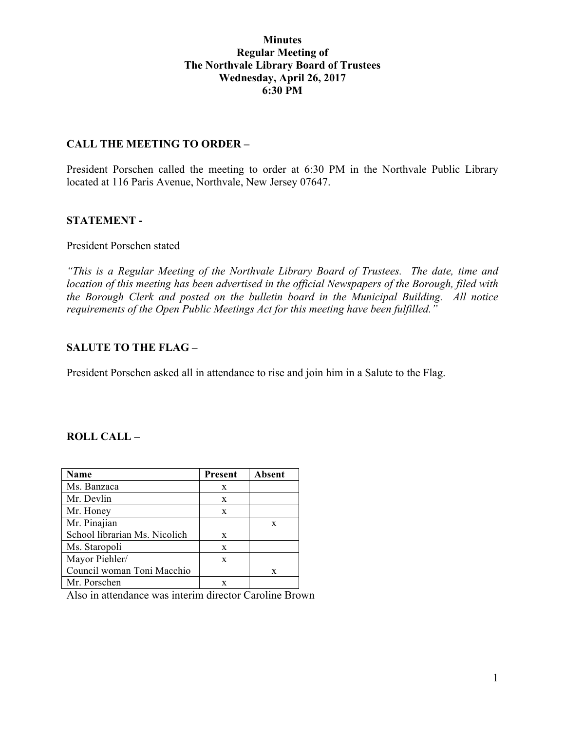### **Minutes Regular Meeting of The Northvale Library Board of Trustees Wednesday, April 26, 2017 6:30 PM**

### **CALL THE MEETING TO ORDER –**

President Porschen called the meeting to order at 6:30 PM in the Northvale Public Library located at 116 Paris Avenue, Northvale, New Jersey 07647.

### **STATEMENT -**

### President Porschen stated

*"This is a Regular Meeting of the Northvale Library Board of Trustees. The date, time and location of this meeting has been advertised in the official Newspapers of the Borough, filed with the Borough Clerk and posted on the bulletin board in the Municipal Building. All notice requirements of the Open Public Meetings Act for this meeting have been fulfilled."* 

## **SALUTE TO THE FLAG –**

President Porschen asked all in attendance to rise and join him in a Salute to the Flag.

## **ROLL CALL –**

| Name                          | <b>Present</b> | <b>Absent</b> |
|-------------------------------|----------------|---------------|
| Ms. Banzaca                   | X              |               |
| Mr. Devlin                    | X              |               |
| Mr. Honey                     | X              |               |
| Mr. Pinajian                  |                | X             |
| School librarian Ms. Nicolich | X              |               |
| Ms. Staropoli                 | X              |               |
| Mayor Piehler/                | X              |               |
| Council woman Toni Macchio    |                | X             |
| Mr. Porschen                  |                |               |

Also in attendance was interim director Caroline Brown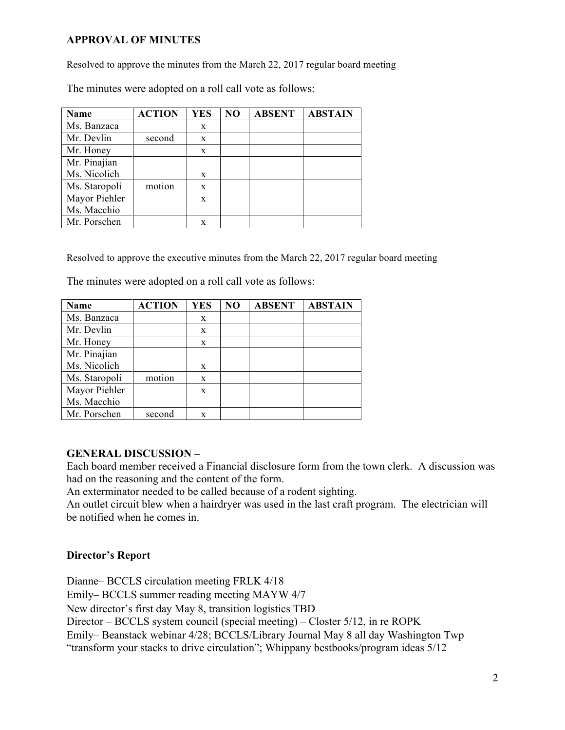## **APPROVAL OF MINUTES**

Resolved to approve the minutes from the March 22, 2017 regular board meeting

The minutes were adopted on a roll call vote as follows:

| <b>Name</b>   | <b>ACTION</b> | <b>YES</b>   | NO | <b>ABSENT</b> | <b>ABSTAIN</b> |
|---------------|---------------|--------------|----|---------------|----------------|
| Ms. Banzaca   |               | X            |    |               |                |
| Mr. Devlin    | second        | X            |    |               |                |
| Mr. Honey     |               | $\mathbf{x}$ |    |               |                |
| Mr. Pinajian  |               |              |    |               |                |
| Ms. Nicolich  |               | X            |    |               |                |
| Ms. Staropoli | motion        | X            |    |               |                |
| Mayor Piehler |               | X            |    |               |                |
| Ms. Macchio   |               |              |    |               |                |
| Mr. Porschen  |               | X            |    |               |                |

Resolved to approve the executive minutes from the March 22, 2017 regular board meeting

The minutes were adopted on a roll call vote as follows:

| Name          | <b>ACTION</b> | <b>YES</b> | NO | <b>ABSENT</b> | <b>ABSTAIN</b> |
|---------------|---------------|------------|----|---------------|----------------|
| Ms. Banzaca   |               | X          |    |               |                |
| Mr. Devlin    |               | X          |    |               |                |
| Mr. Honey     |               | X          |    |               |                |
| Mr. Pinajian  |               |            |    |               |                |
| Ms. Nicolich  |               | X          |    |               |                |
| Ms. Staropoli | motion        | X          |    |               |                |
| Mayor Piehler |               | X          |    |               |                |
| Ms. Macchio   |               |            |    |               |                |
| Mr. Porschen  | second        | X          |    |               |                |

# **GENERAL DISCUSSION –**

Each board member received a Financial disclosure form from the town clerk. A discussion was had on the reasoning and the content of the form.

An exterminator needed to be called because of a rodent sighting.

An outlet circuit blew when a hairdryer was used in the last craft program. The electrician will be notified when he comes in.

# **Director's Report**

Dianne– BCCLS circulation meeting FRLK 4/18 Emily– BCCLS summer reading meeting MAYW 4/7 New director's first day May 8, transition logistics TBD Director – BCCLS system council (special meeting) – Closter 5/12, in re ROPK Emily– Beanstack webinar 4/28; BCCLS/Library Journal May 8 all day Washington Twp "transform your stacks to drive circulation"; Whippany bestbooks/program ideas 5/12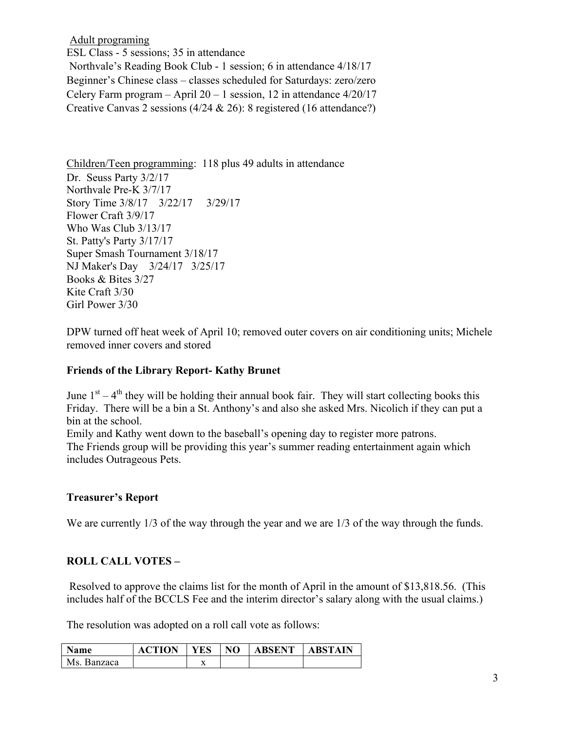Adult programing ESL Class - 5 sessions; 35 in attendance Northvale's Reading Book Club - 1 session; 6 in attendance 4/18/17 Beginner's Chinese class – classes scheduled for Saturdays: zero/zero Celery Farm program – April  $20 - 1$  session, 12 in attendance  $4/20/17$ Creative Canvas 2 sessions (4/24 & 26): 8 registered (16 attendance?)

Children/Teen programming: 118 plus 49 adults in attendance Dr. Seuss Party 3/2/17 Northvale Pre-K 3/7/17 Story Time 3/8/17 3/22/17 3/29/17 Flower Craft 3/9/17 Who Was Club 3/13/17 St. Patty's Party 3/17/17 Super Smash Tournament 3/18/17 NJ Maker's Day 3/24/17 3/25/17 Books & Bites 3/27 Kite Craft 3/30 Girl Power 3/30

DPW turned off heat week of April 10; removed outer covers on air conditioning units; Michele removed inner covers and stored

## **Friends of the Library Report- Kathy Brunet**

June  $1<sup>st</sup> - 4<sup>th</sup>$  they will be holding their annual book fair. They will start collecting books this Friday. There will be a bin a St. Anthony's and also she asked Mrs. Nicolich if they can put a bin at the school.

Emily and Kathy went down to the baseball's opening day to register more patrons. The Friends group will be providing this year's summer reading entertainment again which

includes Outrageous Pets.

## **Treasurer's Report**

We are currently  $1/3$  of the way through the year and we are  $1/3$  of the way through the funds.

## **ROLL CALL VOTES –**

Resolved to approve the claims list for the month of April in the amount of \$13,818.56. (This includes half of the BCCLS Fee and the interim director's salary along with the usual claims.)

The resolution was adopted on a roll call vote as follows:

| Name        | <b>ACTION</b> | <b>YES</b>     | NO | <b>ABSENT</b> | <b>ABSTAIN</b> |
|-------------|---------------|----------------|----|---------------|----------------|
| Ms. Banzaca |               | $\overline{ }$ |    |               |                |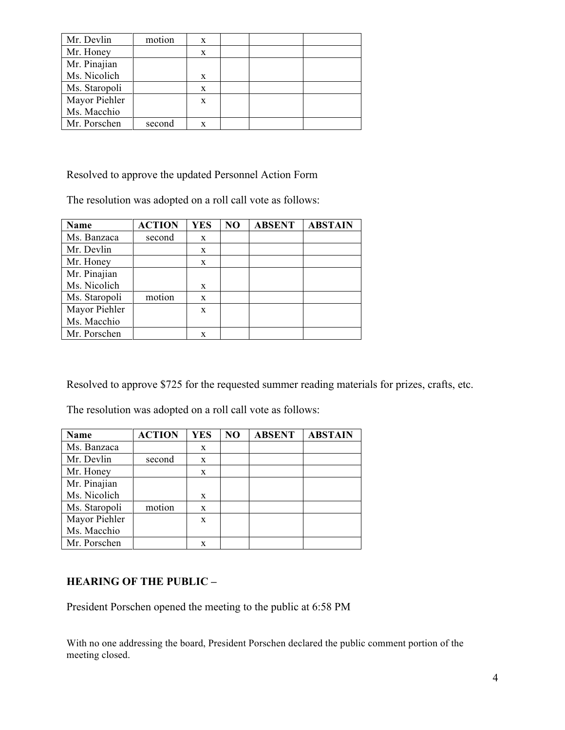| Mr. Devlin    | motion | X |  |  |
|---------------|--------|---|--|--|
| Mr. Honey     |        | X |  |  |
| Mr. Pinajian  |        |   |  |  |
| Ms. Nicolich  |        | X |  |  |
| Ms. Staropoli |        | X |  |  |
| Mayor Piehler |        | X |  |  |
| Ms. Macchio   |        |   |  |  |
| Mr. Porschen  | second | X |  |  |

Resolved to approve the updated Personnel Action Form

The resolution was adopted on a roll call vote as follows:

| Name          | <b>ACTION</b> | <b>YES</b> | NO | <b>ABSENT</b> | <b>ABSTAIN</b> |
|---------------|---------------|------------|----|---------------|----------------|
| Ms. Banzaca   | second        | X          |    |               |                |
| Mr. Devlin    |               | X          |    |               |                |
| Mr. Honey     |               | X          |    |               |                |
| Mr. Pinajian  |               |            |    |               |                |
| Ms. Nicolich  |               | X          |    |               |                |
| Ms. Staropoli | motion        | X          |    |               |                |
| Mayor Piehler |               | X          |    |               |                |
| Ms. Macchio   |               |            |    |               |                |
| Mr. Porschen  |               | X          |    |               |                |

Resolved to approve \$725 for the requested summer reading materials for prizes, crafts, etc.

The resolution was adopted on a roll call vote as follows:

| Name          | <b>ACTION</b> | <b>YES</b> | NO | <b>ABSENT</b> | <b>ABSTAIN</b> |
|---------------|---------------|------------|----|---------------|----------------|
| Ms. Banzaca   |               | X          |    |               |                |
| Mr. Devlin    | second        | X          |    |               |                |
| Mr. Honey     |               | X          |    |               |                |
| Mr. Pinajian  |               |            |    |               |                |
| Ms. Nicolich  |               | X          |    |               |                |
| Ms. Staropoli | motion        | X          |    |               |                |
| Mayor Piehler |               | X          |    |               |                |
| Ms. Macchio   |               |            |    |               |                |
| Mr. Porschen  |               | X          |    |               |                |

### **HEARING OF THE PUBLIC –**

President Porschen opened the meeting to the public at 6:58 PM

With no one addressing the board, President Porschen declared the public comment portion of the meeting closed.